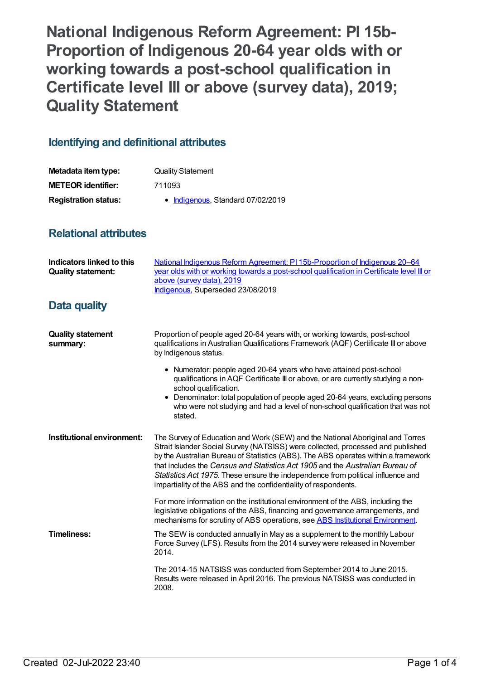**National Indigenous Reform Agreement: PI 15b-Proportion of Indigenous 20-64 year olds with or working towards a post-school qualification in Certificate level III or above (survey data), 2019; Quality Statement**

## **Identifying and definitional attributes**

| Metadata item type:         | <b>Quality Statement</b>          |
|-----------------------------|-----------------------------------|
| <b>METEOR identifier:</b>   | 711093                            |
| <b>Registration status:</b> | • Indigenous, Standard 07/02/2019 |

## **Relational attributes**

| <b>Indicators linked to this</b><br><b>Quality statement:</b> | National Indigenous Reform Agreement: PI 15b-Proportion of Indigenous 20–64<br>year olds with or working towards a post-school qualification in Certificate level III or<br>above (survey data), 2019<br>Indigenous, Superseded 23/08/2019                                                                                                                                                                                                                                                   |
|---------------------------------------------------------------|----------------------------------------------------------------------------------------------------------------------------------------------------------------------------------------------------------------------------------------------------------------------------------------------------------------------------------------------------------------------------------------------------------------------------------------------------------------------------------------------|
| Data quality                                                  |                                                                                                                                                                                                                                                                                                                                                                                                                                                                                              |
| <b>Quality statement</b><br>summary:                          | Proportion of people aged 20-64 years with, or working towards, post-school<br>qualifications in Australian Qualifications Framework (AQF) Certificate III or above<br>by Indigenous status.                                                                                                                                                                                                                                                                                                 |
|                                                               | • Numerator: people aged 20-64 years who have attained post-school<br>qualifications in AQF Certificate III or above, or are currently studying a non-<br>school qualification.                                                                                                                                                                                                                                                                                                              |
|                                                               | • Denominator: total population of people aged 20-64 years, excluding persons<br>who were not studying and had a level of non-school qualification that was not<br>stated.                                                                                                                                                                                                                                                                                                                   |
| Institutional environment:                                    | The Survey of Education and Work (SEW) and the National Aboriginal and Torres<br>Strait Islander Social Survey (NATSISS) were collected, processed and published<br>by the Australian Bureau of Statistics (ABS). The ABS operates within a framework<br>that includes the Census and Statistics Act 1905 and the Australian Bureau of<br>Statistics Act 1975. These ensure the independence from political influence and<br>impartiality of the ABS and the confidentiality of respondents. |
|                                                               | For more information on the institutional environment of the ABS, including the<br>legislative obligations of the ABS, financing and governance arrangements, and<br>mechanisms for scrutiny of ABS operations, see ABS Institutional Environment.                                                                                                                                                                                                                                           |
| <b>Timeliness:</b>                                            | The SEW is conducted annually in May as a supplement to the monthly Labour<br>Force Survey (LFS). Results from the 2014 survey were released in November<br>2014.                                                                                                                                                                                                                                                                                                                            |
|                                                               | The 2014-15 NATSISS was conducted from September 2014 to June 2015.<br>Results were released in April 2016. The previous NATSISS was conducted in<br>2008.                                                                                                                                                                                                                                                                                                                                   |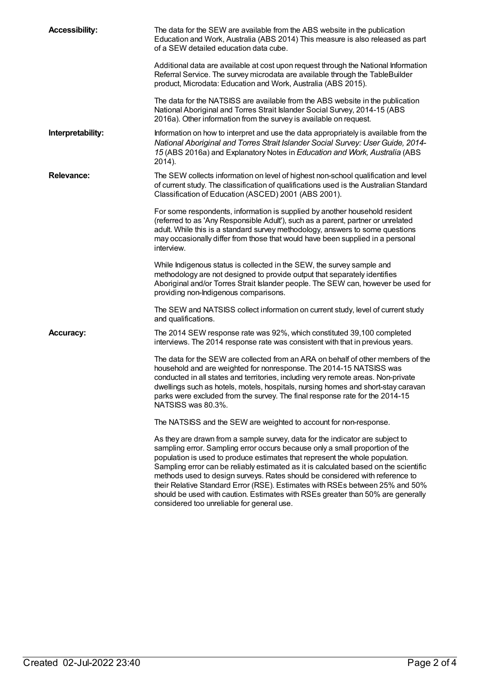| <b>Accessibility:</b> | The data for the SEW are available from the ABS website in the publication<br>Education and Work, Australia (ABS 2014) This measure is also released as part<br>of a SEW detailed education data cube.                                                                                                                                                                                                                                                                                                                                                                                                                                 |
|-----------------------|----------------------------------------------------------------------------------------------------------------------------------------------------------------------------------------------------------------------------------------------------------------------------------------------------------------------------------------------------------------------------------------------------------------------------------------------------------------------------------------------------------------------------------------------------------------------------------------------------------------------------------------|
|                       | Additional data are available at cost upon request through the National Information<br>Referral Service. The survey microdata are available through the TableBuilder<br>product, Microdata: Education and Work, Australia (ABS 2015).                                                                                                                                                                                                                                                                                                                                                                                                  |
|                       | The data for the NATSISS are available from the ABS website in the publication<br>National Aboriginal and Torres Strait Islander Social Survey, 2014-15 (ABS<br>2016a). Other information from the survey is available on request.                                                                                                                                                                                                                                                                                                                                                                                                     |
| Interpretability:     | Information on how to interpret and use the data appropriately is available from the<br>National Aboriginal and Torres Strait Islander Social Survey: User Guide, 2014-<br>15 (ABS 2016a) and Explanatory Notes in Education and Work, Australia (ABS<br>2014).                                                                                                                                                                                                                                                                                                                                                                        |
| <b>Relevance:</b>     | The SEW collects information on level of highest non-school qualification and level<br>of current study. The classification of qualifications used is the Australian Standard<br>Classification of Education (ASCED) 2001 (ABS 2001).                                                                                                                                                                                                                                                                                                                                                                                                  |
|                       | For some respondents, information is supplied by another household resident<br>(referred to as 'Any Responsible Adult'), such as a parent, partner or unrelated<br>adult. While this is a standard survey methodology, answers to some questions<br>may occasionally differ from those that would have been supplied in a personal<br>interview.                                                                                                                                                                                                                                                                                       |
|                       | While Indigenous status is collected in the SEW, the survey sample and<br>methodology are not designed to provide output that separately identifies<br>Aboriginal and/or Torres Strait Islander people. The SEW can, however be used for<br>providing non-Indigenous comparisons.                                                                                                                                                                                                                                                                                                                                                      |
|                       | The SEW and NATSISS collect information on current study, level of current study<br>and qualifications.                                                                                                                                                                                                                                                                                                                                                                                                                                                                                                                                |
| <b>Accuracy:</b>      | The 2014 SEW response rate was 92%, which constituted 39,100 completed<br>interviews. The 2014 response rate was consistent with that in previous years.                                                                                                                                                                                                                                                                                                                                                                                                                                                                               |
|                       | The data for the SEW are collected from an ARA on behalf of other members of the<br>household and are weighted for nonresponse. The 2014-15 NATSISS was<br>conducted in all states and territories, including very remote areas. Non-private<br>dwellings such as hotels, motels, hospitals, nursing homes and short-stay caravan<br>parks were excluded from the survey. The final response rate for the 2014-15<br>NATSISS was 80.3%.                                                                                                                                                                                                |
|                       | The NATSISS and the SEW are weighted to account for non-response.                                                                                                                                                                                                                                                                                                                                                                                                                                                                                                                                                                      |
|                       | As they are drawn from a sample survey, data for the indicator are subject to<br>sampling error. Sampling error occurs because only a small proportion of the<br>population is used to produce estimates that represent the whole population.<br>Sampling error can be reliably estimated as it is calculated based on the scientific<br>methods used to design surveys. Rates should be considered with reference to<br>their Relative Standard Error (RSE). Estimates with RSEs between 25% and 50%<br>should be used with caution. Estimates with RSEs greater than 50% are generally<br>considered too unreliable for general use. |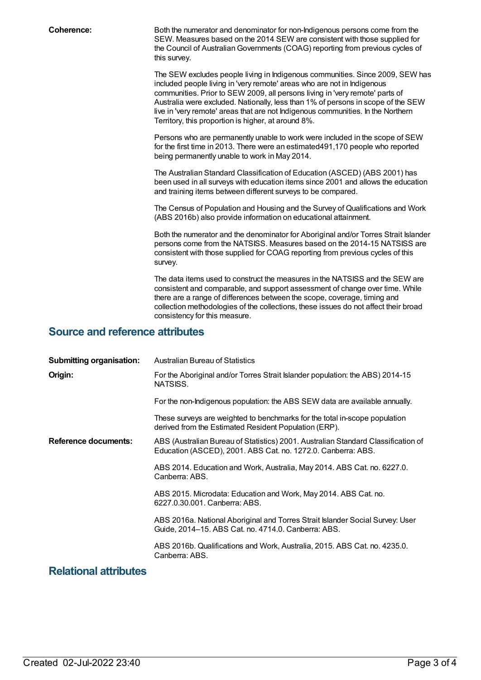**Coherence:** Both the numerator and denominator for non-Indigenous persons come from the SEW. Measures based on the 2014 SEW are consistent with those supplied for the Council of Australian Governments (COAG) reporting from previous cycles of this survey.

> The SEW excludes people living in Indigenous communities. Since 2009, SEW has included people living in 'very remote' areas who are not in Indigenous communities. Prior to SEW 2009, all persons living in 'very remote' parts of Australia were excluded. Nationally, less than 1% of persons in scope of the SEW live in 'very remote' areas that are not Indigenous communities. In the Northern Territory, this proportion is higher, at around 8%.

Persons who are permanently unable to work were included in the scope of SEW for the first time in 2013. There were an estimated491,170 people who reported being permanently unable to work in May 2014.

The Australian Standard Classification of Education (ASCED) (ABS 2001) has been used in all surveys with education items since 2001 and allows the education and training items between different surveys to be compared.

The Census of Population and Housing and the Survey of Qualifications and Work (ABS 2016b) also provide information on educational attainment.

Both the numerator and the denominator for Aboriginal and/or Torres Strait Islander persons come from the NATSISS. Measures based on the 2014-15 NATSISS are consistent with those supplied for COAG reporting from previous cycles of this survey.

The data items used to construct the measures in the NATSISS and the SEW are consistent and comparable, and support assessment of change over time. While there are a range of differences between the scope, coverage, timing and collection methodologies of the collections, these issues do not affect their broad consistency for this measure.

## **Source and reference attributes**

| <b>Submitting organisation:</b> | Australian Bureau of Statistics                                                                                                                   |
|---------------------------------|---------------------------------------------------------------------------------------------------------------------------------------------------|
| Origin:                         | For the Aboriginal and/or Torres Strait Islander population: the ABS) 2014-15<br>NATSISS.                                                         |
|                                 | For the non-Indigenous population: the ABS SEW data are available annually.                                                                       |
|                                 | These surveys are weighted to benchmarks for the total in-scope population<br>derived from the Estimated Resident Population (ERP).               |
| <b>Reference documents:</b>     | ABS (Australian Bureau of Statistics) 2001. Australian Standard Classification of<br>Education (ASCED), 2001. ABS Cat. no. 1272.0. Canberra: ABS. |
|                                 | ABS 2014. Education and Work, Australia, May 2014. ABS Cat. no. 6227.0.<br>Canberra: ABS.                                                         |
|                                 | ABS 2015. Microdata: Education and Work, May 2014. ABS Cat. no.<br>6227.0.30.001. Canberra: ABS.                                                  |
|                                 | ABS 2016a. National Aboriginal and Torres Strait Islander Social Survey: User<br>Guide, 2014-15. ABS Cat. no. 4714.0. Canberra: ABS.              |
|                                 | ABS 2016b. Qualifications and Work, Australia, 2015. ABS Cat. no. 4235.0.<br>Canberra: ABS.                                                       |

## **Relational attributes**